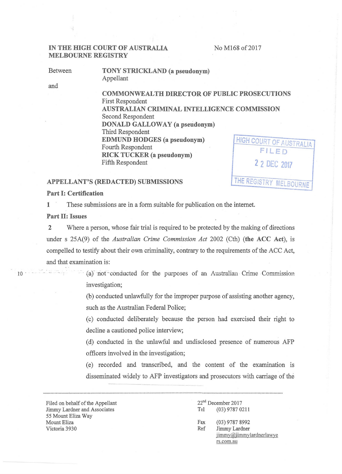No M168 of 2017

**THE** REGISTRY MELBOURNE

# **IN THE HIGH COURT OF AUSTRALIA MELBOURNE REGISTRY**

Between

**TONY STRICKLAND (a pseudonym)**  Appellant

and

**COMMONWEALTH DIRECTOR OF PUBLIC PROSECUTIONS**  First Respondent **AUSTRALIAN CRIMINAL INTELLIGENCE COMMISSION**  Second Respondent **DONALD GALLOWAY (a pseudonym)**  Third Respondent **EDMUND HODGES (a pseudonym)**  Fourth Respondent **RICK TUCKER (a pseudonym)**  Fifth Respondent **HIGH COURT OF AUSTRALIA FILED 2 2 DEL 2017** 

## **APPELLANT'S (REDACTED) SUBMISSIONS**

**Part I: Certification** 

**1** These submissions are in a form suitable for publication on the internet.

**Part 11: Issues** 

**2** Where a person, whose fair trial is required to be protected by the making of directions under s 25A(9) of the *Australian Crime Commission Act* 2002 (Cth) **(the ACC Act),** is compelled to testify about their own criminality, contrary to the requirements of the ACC Act, and that examination is:

. . - 10 - . .. . . . - . ·- . (a)' riot :.. conducted for the purposes of an Australian · Crime CoiTlii'ission investigation;

> (b) conducted unlawfully for the improper purpose of assisting another agency, such as the Australian Federal Police;

> (c) conducted deliberately because the person had exercised their right to decline a cautioned police interview;

> (d) conducted in the unlawful and undisclosed presence of numerous AFP officers involved in the investigation;

> (e) recorded and transcribed, and the content of the examination 1s disseminated widely to AFP investigators and prosecutors with carriage of the

Filed on behalf of the Appellant Jimmy Lardner and Associates 55 Mount Eliza Way Mount Eliza Victoria 3930

22<sup>nd</sup> December 2017 Tel (03) 9787 0211 Fax (03) 9787 8992 Ref Jimmy Lardner jimmy@jimmylardnerlawye rs.com.au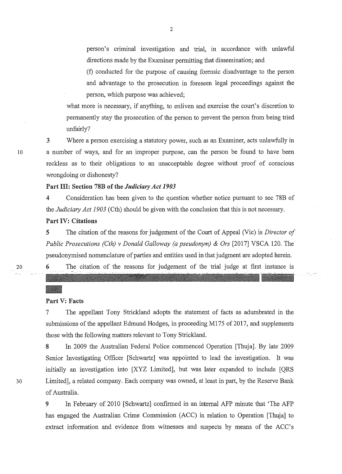person's criminal investigation and trial, in accordance with unlawful directions made by the Examiner permitting that dissemination; and

(f) conducted for the purpose of causing forensic disadvantage to the person and advantage to the prosecution in foreseen legal proceedings against the person, which purpose was achieved;

what more is necessary, if anything, to enliven and exercise the court's discretion to permanently stay the prosecution of the person to prevent the person from being tried unfairly?

3 Where a person exercising a statutory power, such as an Examiner, acts unlawfully in 10 a number of ways, and for an improper purpose, can the person be found to have been reckless as to their obligations to an unacceptable degree without proof of conscious wrongdoing or dishonesty?

### Part Ill: Section 78B of the *Judiciary Act 1903*

4 Consideration has been given to the question whether notice pursuant to sec 78B of the *Judiciary Act 1903* (Cth) should be given with the conclusion that this is not necessary.

## Part IV: Citations

5 The citation of the reasons for judgement of the Court of Appeal (Vie) is *Director of Public Prosecutions (Cth) v Donald Galloway (a pseudonym)* & *Ors* [2017] VSCA 120. The pseudonymised nomenclature of parties and entities used in that judgment are adopted herein.

20

# 6 The citation of the reasons for judgement of the trial judge at first instance is

Part V: Facts

7 The appellant Tony Strickland adopts the statement of facts as adumbrated in the submissions of the appellant Edmund Hodges, in proceeding M175 of 2017, and supplements those with the following matters relevant to Tony Strickland.

8 In 2009 the Australian Federal Police commenced Operation [Thuja]. By late 2009 Senior Investigating Officer [Schwartz] was appointed to lead the investigation. It was initially an investigation into [XYZ Limited], but was later expanded to include [QRS 30 Limited], a related company. Each company was owned, at least in part, by the Reserve Bank of Australia.

> 9 In February of 2010 [Schwartz] confirmed in an internal AFP minute that 'The AFP has engaged the Australian Crime Commission (ACC) in relation to Operation [Thuja] to extract information and evidence from witnesses and suspects by means of the ACC's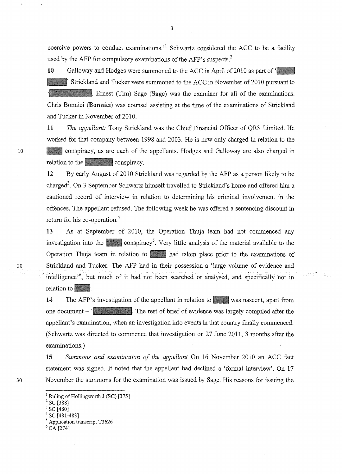coercive powers to conduct examinations.<sup> $1$ </sup> Schwartz considered the ACC to be a facility used by the AFP for compulsory examinations of the AFP's suspects.<sup>2</sup>

10 Galloway and Hodges were summoned to the ACC in April of 2010 as part of ' Strickland and Tucker were summoned to the ACC in November of 2010 pursuant to Ernest (Tim) Sage (Sage) was the examiner for all of the examinations. Chris Bonnici (Bonnici) was counsel assisting at the time of the examinations of Strickland and Tucker in November of 2010.

11 *The appellant:* Tony Strickland was the Chief Financial Officer of QRS Limited. He worked for that company between 1998 and 2003. He is now only charged in relation to the 10 1111 conspiracy, as are each of the appellants. Hodges and Galloway are also charged in relation to the conspiracy.

> 12 By early August of 2010 Strickland was regarded by the AFP as a person likely to be charged<sup>3</sup>. On 3 September Schwartz himself travelled to Strickland's home and offered him a cautioned record of interview in relation to determining his criminal involvement in the offences. The appellant refused. The following week he was offered a sentencing discount in return for his co-operation.<sup>4</sup>

13 As at September of 2010, the Operation Thuja team had not commenced any investigation into the conspiracy<sup>5</sup>. Very little analysis of the material available to the Operation Thuja team in relation to had taken place prior to the examinations of 20 Strickland and Tucker. The AFP had in their possession a 'large volume of evidence and intelligence<sup> $,6$ </sup>, but much of it had not been searched or analysed, and specifically not in relation to

> 14 The AFP's investigation of the appellant in relation to was nascent, apart from one document  $-\mathcal{L}$  The rest of brief of evidence was largely compiled after the appellant's examination, when an investigation into events in that country finally commenced. (Schwartz was directed to commence that investigation on 27 June 2011, 8 months after the examinations.)

15 *Summons and examination of the appellant* On 16 November 2010 an ACC fact statement was signed. It noted that the appellant had declined a 'formal interview'. On 17 30 November the summons for the examination was issued by Sage. His reasons for issuing the

<sup>&</sup>lt;sup>1</sup> Ruling of Hollingworth J (SC) [375]<br><sup>2</sup> SC [388]<br><sup>3</sup> SC [480]<br><sup>4</sup> SC [481-483]<br><sup>5</sup> Application transcript T3626<br><sup>6</sup> CA [274]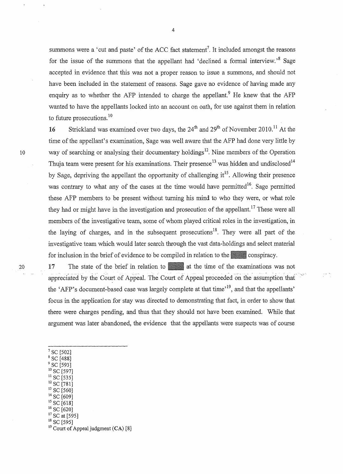summons were a 'cut and paste' of the ACC fact statement<sup>7</sup>. It included amongst the reasons for the issue of the summons that the appellant had 'declined a formal interview.'  $8$  Sage accepted in evidence that this was not a proper reason to issue a summons, and should not have been included in the statement of reasons. Sage gave no evidence of having made any enquiry as to whether the AFP intended to charge the appellant.<sup>9</sup> He knew that the AFP wanted to have the appellants locked into an account on oath, for use against them in relation to future prosecutions.<sup>10</sup>

16 Strickland was examined over two days, the  $24<sup>th</sup>$  and  $29<sup>th</sup>$  of November 2010.<sup>11</sup> At the time of the appellant's examination, Sage was well aware that the AFP had done very little by 10 way of searching or analysing their documentary holdings<sup>12</sup>. Nine members of the Operation Thuja team were present for his examinations. Their presence  $^{13}$  was hidden and undisclosed  $^{14}$ by Sage, depriving the appellant the opportunity of challenging  $it^{15}$ . Allowing their presence was contrary to what any of the cases at the time would have permitted<sup>16</sup>. Sage permitted these AFP members to be present without turning his mind to who they were, or what role they had or might have in the investigation and prosecution of the appellant.<sup>17</sup> These were all members of the investigative team, some of whom played critical roles in the investigation, in the laying of charges, and in the subsequent prosecutions<sup>18</sup>. They were all part of the investigative team which would later search through the vast data-holdings and select material for inclusion in the brief of evidence to be compiled in relation to the conspiracy.<br>17 The state of the brief in relation to a lat the time of the examinations w

20 17 The state of the brief in relation to at the time of the examinations was not appreciated by the Court of Appeal. The Court of Appeal proceeded on the assumption that the 'AFP's document-based case was largely complete at that time<sup>,19</sup>, and that the appellants' focus in the application for stay was directed to demonstrating that fact, in order to show that there were charges pending, and thus that they should not have been examined. While that argument was later abandoned, the evidence that the appellants were suspects was of course

- <sup>7</sup> SC [502]<br><sup>8</sup> SC [488]<br><sup>9</sup> SC [593]<br><sup>10</sup> SC [597]
- 
- 
- 
- 
- 
- 
- 
- 
- 

<sup>&</sup>lt;sup>11</sup> SC [535]<br>
<sup>12</sup> SC [781]<br>
<sup>13</sup> SC [560]<br>
<sup>14</sup> SC [609]<br>
<sup>15</sup> SC [618]<br>
<sup>16</sup> SC [620]<br>
<sup>17</sup> SC at [595]<br>
<sup>18</sup> SC [595]<br>
<sup>18</sup> Court of Appeal judgment (CA) [8]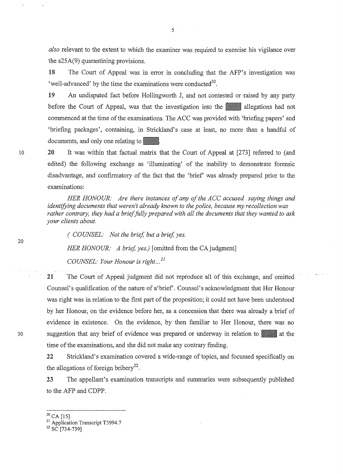*also* relevant to the extent to which the examiner was required to exercise his vigilance over the s25A(9) quarantining provisions.

18 The Court of Appeal was in error in concluding that the AFP's investigation was 'well-advanced' by the time the examinations were conducted<sup>20</sup>.

19 An undisputed fact before Hollingworth J, and not contested or raised by any party before the Court of Appeal, was that the investigation into the allegations had not commenced at the time of the examinations. The ACC was provided with 'briefing papers' and 'briefing packages', containing, in Strickland's case at least, no more than a handful of documents, and only one relating to ...

20 It was within that factual matrix that the Court of Appeal at [273] referred to (and edited) the following exchange as 'illuminating' of the inability to demonstrate forensic disadvantage, and confirmatory of the fact that the 'brief was already prepared prior to the examinations:

*HER HONOUR: Are there instances of any of the ACC accused saying things and identifying documents that weren't already known to the police, because my recollection was rather contrary, they had a brief fully prepared with all the documents that they wanted to ask your clients about.* 

*( COUNSEL: Not the brief, but a brief, yes.* 

*HER HONOUR: A brief, yes.)* [omitted from the CA judgment]

*COUNSEL: Your Honour is right ... 21* 

21 The Court of Appeal judgment did not reproduce all of this exchange, and omitted Counsel's qualification of the nature of a 'brief'. Counsel's acknowledgment that Her Honour was right was in relation to the first part of the proposition; it could not have been understood by her Honour, on the evidence before her, as a concession that there was already a brief of evidence in existence. On the evidence, by then familiar to Her Honour, there was no suggestion that any brief of evidence was prepared or underway in relation to at the time of the examinations, and she did not make any contrary finding.

22 Strickland's examination covered a wide-range of topics, and focussed specifically on the allegations of foreign bribery<sup>22</sup>.

23 The appellant's examination transcripts and summaries were subsequently published to the AFP and CDPP.

30

10

 $20$  CA [15]

<sup>&</sup>lt;sup>21</sup> Application Transcript T3994.7<br><sup>22</sup> SC [734-739]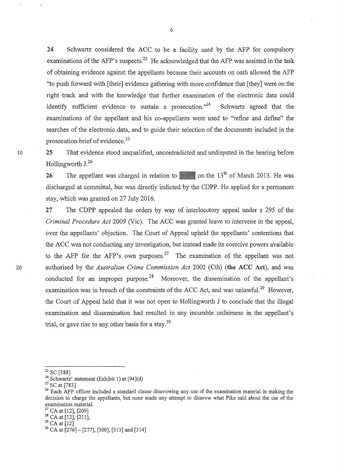24 Schwartz considered the ACC to be a facility used by the AFP for compulsory examinations of the AFP's suspects.<sup>23</sup> He acknowledged that the AFP was assisted in the task of obtaining evidence against the appellants because their accounts on oath allowed the AFP "to push forward with [their] evidence gathering with more confidence that [they] were on the right track and with the knowledge that further examination of the electronic data could identify sufficient evidence to sustain a prosecution."<sup>24</sup> Schwartz agreed that the examinations of the appellant and his eo-appellants were used to "refine and define" the searches of the electronic data, and to guide their selection of the documents included in the prosecution brief of evidence.<sup>25</sup>

<sup>1</sup>o 25 That evidence stood unqualified, uncontradicted and undisputed in the hearing before Hollingworth J.<sup>26</sup>

> 26 The appellant was charged in relation to  $\sim$  on the 13<sup>th</sup> of March 2013. He was discharged at committal, but was directly indicted by the CDPP. He applied for a permanent stay, which was granted on 27 July 2016.

27 The CDPP appealed the orders by way of interlocutory appeal under s 295 of the *Criminal Procedure Act* 2009 (Vie). The ACC was granted leave to intervene in the appeal, over the appellants' objection. The Court of Appeal upheld the appellants' contentions that the ACC was not conducting any investigation, but instead made its coercive powers available to the AFP for the AFP's own purposes.<sup>27</sup> The examination of the appellant was not 20 authorised by the *Australian Crime Commission Act* 2002 (Cth) (the ACC Act), and was conducted for an improper purpose.<sup>28</sup> Moreover, the dissemination of the appellant's examination was in breach of the constraints of the ACC Act, and was unlawful.<sup>29</sup> However. the Court of Appeal held that it was not open to Hollingworth J to conclude that the illegal examination and dissemination had resulted in any incurable. unfairness in the appellant's trial, or gave rise to any other basis for a stay.<sup>30</sup>

<sup>&</sup>lt;sup>23</sup> SC [388]<br><sup>24</sup> Schwartz' statement (Exhibit 1) at [94](d)<br><sup>25</sup> SC at [783]<br><sup>26</sup> Each AFP officer included a standard clause disavowing any use of the examination material in making the decision to charge the appellants, but none made any attempt to disavow what Pike said about the use of the examination material.<br><sup>27</sup> CA at [12], [209]<br><sup>28</sup> CA at [12], [211],<br><sup>29</sup> CA at [12]

 $30$  CA at  $[276] - [277]$ , [300], [313] and [314]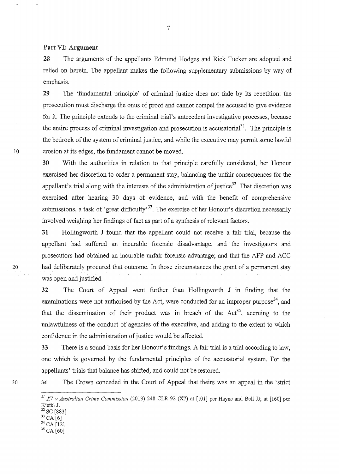28 The arguments of the appellants Edmund Hodges and Rick Tucker are adopted and relied on herein. The appellant makes the following supplementary submissions by way of emphasis.

29 The 'fundamental principle' of criminal justice does not fade by its repetition: the prosecution must discharge the onus of proof and cannot compel the accused to give evidence for it. The principle extends to the criminal trial's antecedent investigative processes, because the entire process of criminal investigation and prosecution is accusatorial<sup>31</sup>. The principle is the bedrock of the system of criminal justice, and while the executive may permit some lawful 10 erosion at its edges, the fundament cannot be moved.

> 30 With the authorities in relation to that principle carefully considered, her Honour exercised her discretion to order a permanent stay, balancing the unfair consequences for the appellant's trial along with the interests of the administration of justice<sup>32</sup>. That discretion was exercised after hearing 30 days of evidence, and with the benefit of comprehensive submissions, a task of 'great difficulty'<sup>33</sup>. The exercise of her Honour's discretion necessarily involved weighing her findings of fact as part of a synthesis of relevant factors.

31 Hollingworth J found that the appellant could not receive a fair trial, because the appellant had suffered an incurable forensic disadvantage, and the investigators and prosecutors had obtained an incurable unfair forensic advantage; and that the AFP and ACC 20 had deliberately procured that outcome. In those circumstances the grant of a permanent stay was open and justified.

> 32 The Court of Appeal went further than Hollingworth J in finding that the examinations were not authorised by the Act, were conducted for an improper purpose<sup>34</sup>, and that the dissemination of their product was in breach of the  $Act^{35}$ , accruing to the unlawfulness of the conduct of agencies of the executive, and adding to the extent to which confidence in the administration of justice would be affected.

> 33 There is a sound basis for her Honour's findings. A fair trial is a trial according to law, one which is governed by the fundamental principles of the accusatorial system. For the appellants' trials that balance has shifted, and could not be restored.

30

34 The Crown conceded in the Court of Appeal that theirs was an appeal in the 'strict

- 
- 

*<sup>31</sup> X7 v Australian Crime Commission* (2013) 248 CLR 92 (X7) at [101] per Hayne and Bell JJ; at [160] per Kiefel J.<br><sup>32</sup> SC [883]<br><sup>33</sup> CA [6]<br><sup>34</sup> CA [12]<br><sup>35</sup> CA [60]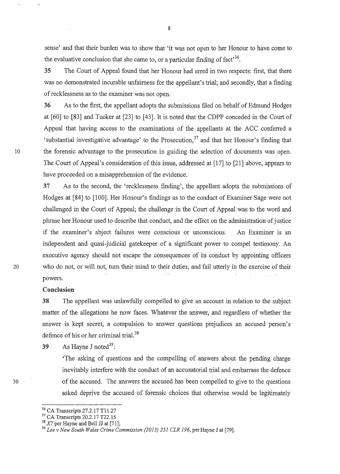sense' and that their burden was to show that 'it was not open to her Honour to have come to the evaluative conclusion that she came to, or a particular finding of fact<sup>36</sup>.

35 The Court of Appeal found that her Honour had erred in two respects: first, that there was no demonstrated incurable unfairness for the appellant's trial; and secondly, that a finding of recklessness as to the examiner was not open.

36 As to the first, the appellant adopts the submissions filed on behalf of Edmund Hodges at [60] to [83] and Tucker at [23] to [43]. It is noted that the CDPP conceded in the Court of Appeal that having access to the examinations of the appellants at the ACC conferred a 'substantial investigative advantage' to the Prosecution,  $37$  and that her Honour's finding that 10 the forensic advantage to the prosecution in guiding the selection of documents was open. The Court of Appeal's consideration of this issue, addressed at [17] to [21] above, appears to have proceeded on a misapprehension of the evidence.

37 As to the second, the 'recklessness fmding', the appellant adopts the submissions of Hodges at [84] to [100]. Her Honour's findings as to the conduct of Examiner Sage were not challenged in the Court of Appeal; the challenge in the Court of Appeal was to the word and phrase her Honour used to describe that conduct, and the effect on the administration of justice if the examiner's abject failures were conscious or unconscious. An Examiner is an independent and quasi-judicial gatekeeper of a significant power to compel testimony. An executive agency should not escape the consequences of its conduct by appointing officers 20 who do not, or will not, turn their mind to their duties, and fail utterly in the exercise of their powers.

#### Conclusion

30

38 The appellant was unlawfully compelled to give an account in relation to the subject matter of the allegations he now faces. Whatever the answer, and regardless of whether the answer is kept secret, a compulsion to answer questions prejudices an accused person's defence of his or her criminal trial.<sup>38</sup>

39 As Hayne J noted<sup>39</sup>:

'The asking of questions and the compelling of answers about the pending charge inevitably interfere with the conduct of an accusatorial trial and embarrass the defence of the accused. The answers the accused has been compelled to give to the questions asked deprive the accused of forensic choices that otherwise would be legitimately

<sup>&</sup>lt;sup>36</sup> CA Transcripts 27.2.17 T11.27<br><sup>37</sup> CA Transcripts 20.2.17 T22.15<br><sup>38</sup> *X7* per Hayne and Bell JJ at [71];<br><sup>39</sup> *Lee v New South Wales Crime Commission (2013) 251 CLR 196, per Hayne J at [79]*.